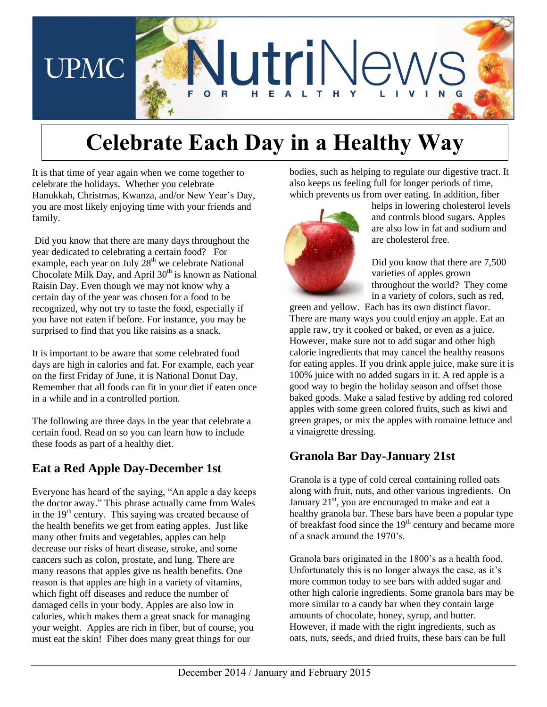

# **Celebrate Each Day in a Healthy Way**

It is that time of year again when we come together to celebrate the holidays. Whether you celebrate Hanukkah, Christmas, Kwanza, and/or New Year's Day, you are most likely enjoying time with your friends and family.

Did you know that there are many days throughout the year dedicated to celebrating a certain food? For example, each year on July  $28<sup>th</sup>$  we celebrate National Chocolate Milk Day, and April  $30<sup>th</sup>$  is known as National Raisin Day. Even though we may not know why a certain day of the year was chosen for a food to be recognized, why not try to taste the food, especially if you have not eaten if before. For instance, you may be surprised to find that you like raisins as a snack.

It is important to be aware that some celebrated food days are high in calories and fat. For example, each year on the first Friday of June, it is National Donut Day. Remember that all foods can fit in your diet if eaten once in a while and in a controlled portion.

The following are three days in the year that celebrate a certain food. Read on so you can learn how to include these foods as part of a healthy diet.

# **Eat a Red Apple Day-December 1st**

Everyone has heard of the saying, "An apple a day keeps the doctor away." This phrase actually came from Wales in the  $19<sup>th</sup>$  century. This saying was created because of the health benefits we get from eating apples. Just like many other fruits and vegetables, apples can help decrease our risks of heart disease, stroke, and some cancers such as colon, prostate, and lung. There are many reasons that apples give us health benefits. One reason is that apples are high in a variety of vitamins, which fight off diseases and reduce the number of damaged cells in your body. Apples are also low in calories, which makes them a great snack for managing your weight. Apples are rich in fiber, but of course, you must eat the skin! Fiber does many great things for our

bodies, such as helping to regulate our digestive tract. It also keeps us feeling full for longer periods of time, which prevents us from over eating. In addition, fiber



helps in lowering cholesterol levels and controls blood sugars. Apples are also low in fat and sodium and are cholesterol free.

Did you know that there are 7,500 varieties of apples grown throughout the world? They come in a variety of colors, such as red,

green and yellow. Each has its own distinct flavor. There are many ways you could enjoy an apple. Eat an apple raw, try it cooked or baked, or even as a juice. However, make sure not to add sugar and other high calorie ingredients that may cancel the healthy reasons for eating apples. If you drink apple juice, make sure it is 100% juice with no added sugars in it. A red apple is a good way to begin the holiday season and offset those baked goods. Make a salad festive by adding red colored apples with some green colored fruits, such as kiwi and green grapes, or mix the apples with romaine lettuce and a vinaigrette dressing.

# **Granola Bar Day-January 21st**

Granola is a type of cold cereal containing rolled oats along with fruit, nuts, and other various ingredients. On January 21<sup>st</sup>, you are encouraged to make and eat a healthy granola bar. These bars have been a popular type of breakfast food since the  $19<sup>th</sup>$  century and became more of a snack around the 1970's.

Granola bars originated in the 1800's as a health food. Unfortunately this is no longer always the case, as it's more common today to see bars with added sugar and other high calorie ingredients. Some granola bars may be more similar to a candy bar when they contain large amounts of chocolate, honey, syrup, and butter. However, if made with the right ingredients, such as oats, nuts, seeds, and dried fruits, these bars can be full